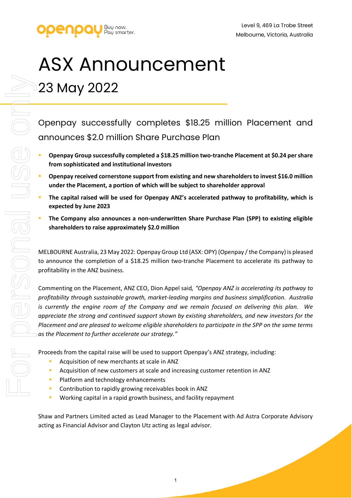

# ASX Announcement 23 May 2022

Openpay successfully completes \$18.25 million Placement and announces \$2.0 million Share Purchase Plan

- **Openpay Group successfully completed a \$18.25 million two-tranche Placement at \$0.24 per share from sophisticated and institutional investors**
- **Openpay received cornerstone support from existing and new shareholders to invest \$16.0 million under the Placement, a portion of which will be subject to shareholder approval**
- **The capital raised will be used for Openpay ANZ's accelerated pathway to profitability, which is expected by June 2023**
- **The Company also announces a non-underwritten Share Purchase Plan (SPP) to existing eligible shareholders to raise approximately \$2.0 million**

MELBOURNE Australia, 23 May 2022: Openpay Group Ltd (ASX: OPY) (Openpay / the Company) is pleased to announce the completion of a \$18.25 million two-tranche Placement to accelerate its pathway to profitability in the ANZ business.

Commenting on the Placement, ANZ CEO, Dion Appel said*, "Openpay ANZ is accelerating its pathway to profitability through sustainable growth, market-leading margins and business simplification. Australia is currently the engine room of the Company and we remain focused on delivering this plan. We appreciate the strong and continued support shown by existing shareholders, and new investors for the Placement and are pleased to welcome eligible shareholders to participate in the SPP on the same terms as the Placement to further accelerate our strategy."* 

Proceeds from the capital raise will be used to support Openpay's ANZ strategy, including:

- Acquisition of new merchants at scale in ANZ
- Acquisition of new customers at scale and increasing customer retention in ANZ
- Platform and technology enhancements
- Contribution to rapidly growing receivables book in ANZ
- Working capital in a rapid growth business, and facility repayment

Shaw and Partners Limited acted as Lead Manager to the Placement with Ad Astra Corporate Advisory acting as Financial Advisor and Clayton Utz acting as legal advisor.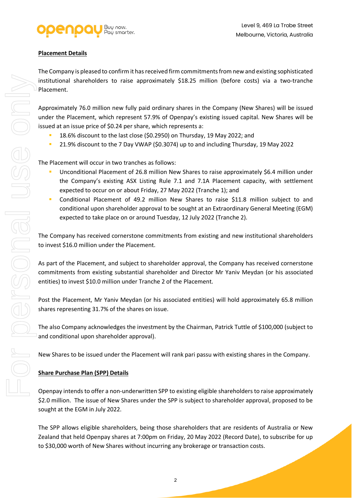

### **Placement Details**

The Company is pleased to confirm it has received firm commitments from new and existing sophisticated institutional shareholders to raise approximately \$18.25 million (before costs) via a two-tranche Placement.

Approximately 76.0 million new fully paid ordinary shares in the Company (New Shares) will be issued under the Placement, which represent 57.9% of Openpay's existing issued capital. New Shares will be issued at an issue price of \$0.24 per share, which represents a:

- <sup>1</sup> 18.6% discount to the last close (\$0.2950) on Thursday, 19 May 2022; and
- 21.9% discount to the 7 Day VWAP (\$0.3074) up to and including Thursday, 19 May 2022

The Placement will occur in two tranches as follows:

- Unconditional Placement of 26.8 million New Shares to raise approximately \$6.4 million under the Company's existing ASX Listing Rule 7.1 and 7.1A Placement capacity, with settlement expected to occur on or about Friday, 27 May 2022 (Tranche 1); and
- Conditional Placement of 49.2 million New Shares to raise \$11.8 million subject to and conditional upon shareholder approval to be sought at an Extraordinary General Meeting (EGM) expected to take place on or around Tuesday, 12 July 2022 (Tranche 2).

The Company has received cornerstone commitments from existing and new institutional shareholders to invest \$16.0 million under the Placement.

As part of the Placement, and subject to shareholder approval, the Company has received cornerstone commitments from existing substantial shareholder and Director Mr Yaniv Meydan (or his associated entities) to invest \$10.0 million under Tranche 2 of the Placement.

Post the Placement, Mr Yaniv Meydan (or his associated entities) will hold approximately 65.8 million shares representing 31.7% of the shares on issue.

The also Company acknowledges the investment by the Chairman, Patrick Tuttle of \$100,000 (subject to and conditional upon shareholder approval).

New Shares to be issued under the Placement will rank pari passu with existing shares in the Company.

#### **Share Purchase Plan (SPP) Details**

Openpay intends to offer a non-underwritten SPP to existing eligible shareholders to raise approximately \$2.0 million. The issue of New Shares under the SPP is subject to shareholder approval, proposed to be sought at the EGM in July 2022.

The SPP allows eligible shareholders, being those shareholders that are residents of Australia or New Zealand that held Openpay shares at 7:00pm on Friday, 20 May 2022 (Record Date), to subscribe for up to \$30,000 worth of New Shares without incurring any brokerage or transaction costs.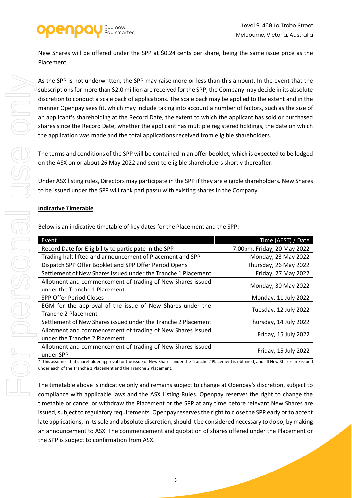

New Shares will be offered under the SPP at \$0.24 cents per share, being the same issue price as the Placement.

As the SPP is not underwritten, the SPP may raise more or less than this amount. In the event that the subscriptions for more than \$2.0 million are received for the SPP, the Company may decide in its absolute discretion to conduct a scale back of applications. The scale back may be applied to the extent and in the manner Openpay sees fit, which may include taking into account a number of factors, such as the size of an applicant's shareholding at the Record Date, the extent to which the applicant has sold or purchased shares since the Record Date, whether the applicant has multiple registered holdings, the date on which the application was made and the total applications received from eligible shareholders.

The terms and conditions of the SPP will be contained in an offer booklet, which is expected to be lodged on the ASX on or about 26 May 2022 and sent to eligible shareholders shortly thereafter.

Under ASX listing rules, Directors may participate in the SPP if they are eligible shareholders. New Shares to be issued under the SPP will rank pari passu with existing shares in the Company.

#### **Indicative Timetable**

| Event                                                                                       | Time (AEST) / Date          |
|---------------------------------------------------------------------------------------------|-----------------------------|
| Record Date for Eligibility to participate in the SPP                                       | 7:00pm, Friday, 20 May 2022 |
| Trading halt lifted and announcement of Placement and SPP                                   | Monday, 23 May 2022         |
| Dispatch SPP Offer Booklet and SPP Offer Period Opens                                       | Thursday, 26 May 2022       |
| Settlement of New Shares issued under the Tranche 1 Placement                               | Friday, 27 May 2022         |
| Allotment and commencement of trading of New Shares issued<br>under the Tranche 1 Placement | Monday, 30 May 2022         |
| <b>SPP Offer Period Closes</b>                                                              | Monday, 11 July 2022        |
| EGM for the approval of the issue of New Shares under the<br><b>Tranche 2 Placement</b>     | Tuesday, 12 July 2022       |
| Settlement of New Shares issued under the Tranche 2 Placement                               | Thursday, 14 July 2022      |
| Allotment and commencement of trading of New Shares issued<br>under the Tranche 2 Placement | Friday, 15 July 2022        |
| Allotment and commencement of trading of New Shares issued<br>under SPP                     | Friday, 15 July 2022        |

Below is an indicative timetable of key dates for the Placement and the SPP:

This assumes that shareholder approval for the issue of New Shares under the Tranche 2 Placement is obtained, and all New Shares are issued under each of the Tranche 1 Placement and the Tranche 2 Placement.

The timetable above is indicative only and remains subject to change at Openpay's discretion, subject to compliance with applicable laws and the ASX Listing Rules. Openpay reserves the right to change the timetable or cancel or withdraw the Placement or the SPP at any time before relevant New Shares are issued, subject to regulatory requirements. Openpay reserves the right to close the SPP early or to accept late applications, in its sole and absolute discretion, should it be considered necessary to do so, by making an announcement to ASX. The commencement and quotation of shares offered under the Placement or the SPP is subject to confirmation from ASX.